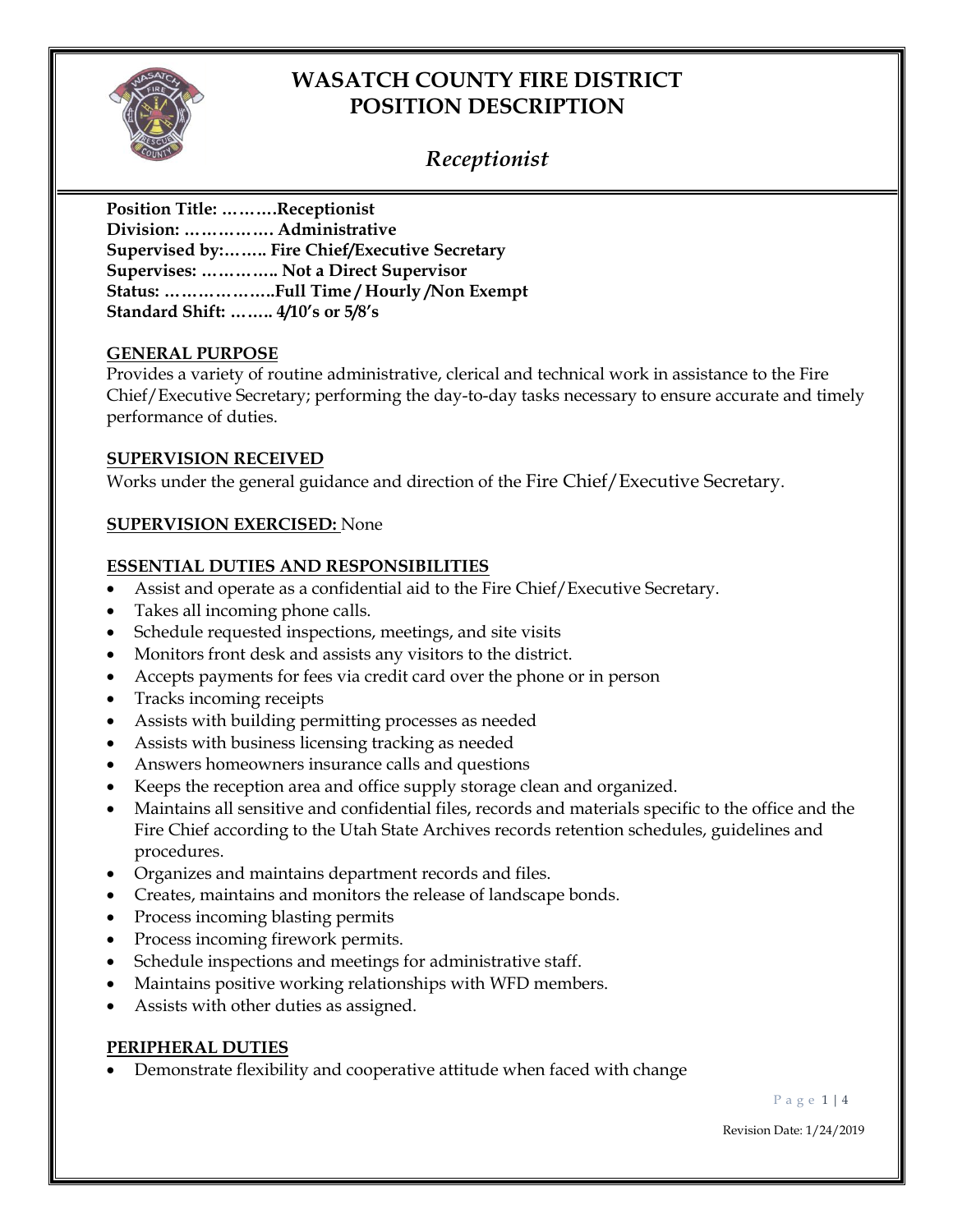

### *Receptionist*

**Position Title: ……….Receptionist Division: ……………. Administrative Supervised by:…….. Fire Chief/Executive Secretary Supervises: ………….. Not a Direct Supervisor Status: ………………..Full Time / Hourly /Non Exempt Standard Shift: …….. 4/10's or 5/8's**

#### **GENERAL PURPOSE**

Provides a variety of routine administrative, clerical and technical work in assistance to the Fire Chief/Executive Secretary; performing the day-to-day tasks necessary to ensure accurate and timely performance of duties.

#### **SUPERVISION RECEIVED**

Works under the general guidance and direction of the Fire Chief/Executive Secretary.

#### **SUPERVISION EXERCISED:** None

#### **ESSENTIAL DUTIES AND RESPONSIBILITIES**

- Assist and operate as a confidential aid to the Fire Chief/Executive Secretary.
- Takes all incoming phone calls.
- Schedule requested inspections, meetings, and site visits
- Monitors front desk and assists any visitors to the district.
- Accepts payments for fees via credit card over the phone or in person
- Tracks incoming receipts
- Assists with building permitting processes as needed
- Assists with business licensing tracking as needed
- Answers homeowners insurance calls and questions
- Keeps the reception area and office supply storage clean and organized.
- Maintains all sensitive and confidential files, records and materials specific to the office and the Fire Chief according to the Utah State Archives records retention schedules, guidelines and procedures.
- Organizes and maintains department records and files.
- Creates, maintains and monitors the release of landscape bonds.
- Process incoming blasting permits
- Process incoming firework permits.
- Schedule inspections and meetings for administrative staff.
- Maintains positive working relationships with WFD members.
- Assists with other duties as assigned.

### **PERIPHERAL DUTIES**

• Demonstrate flexibility and cooperative attitude when faced with change

P a g e 1 | 4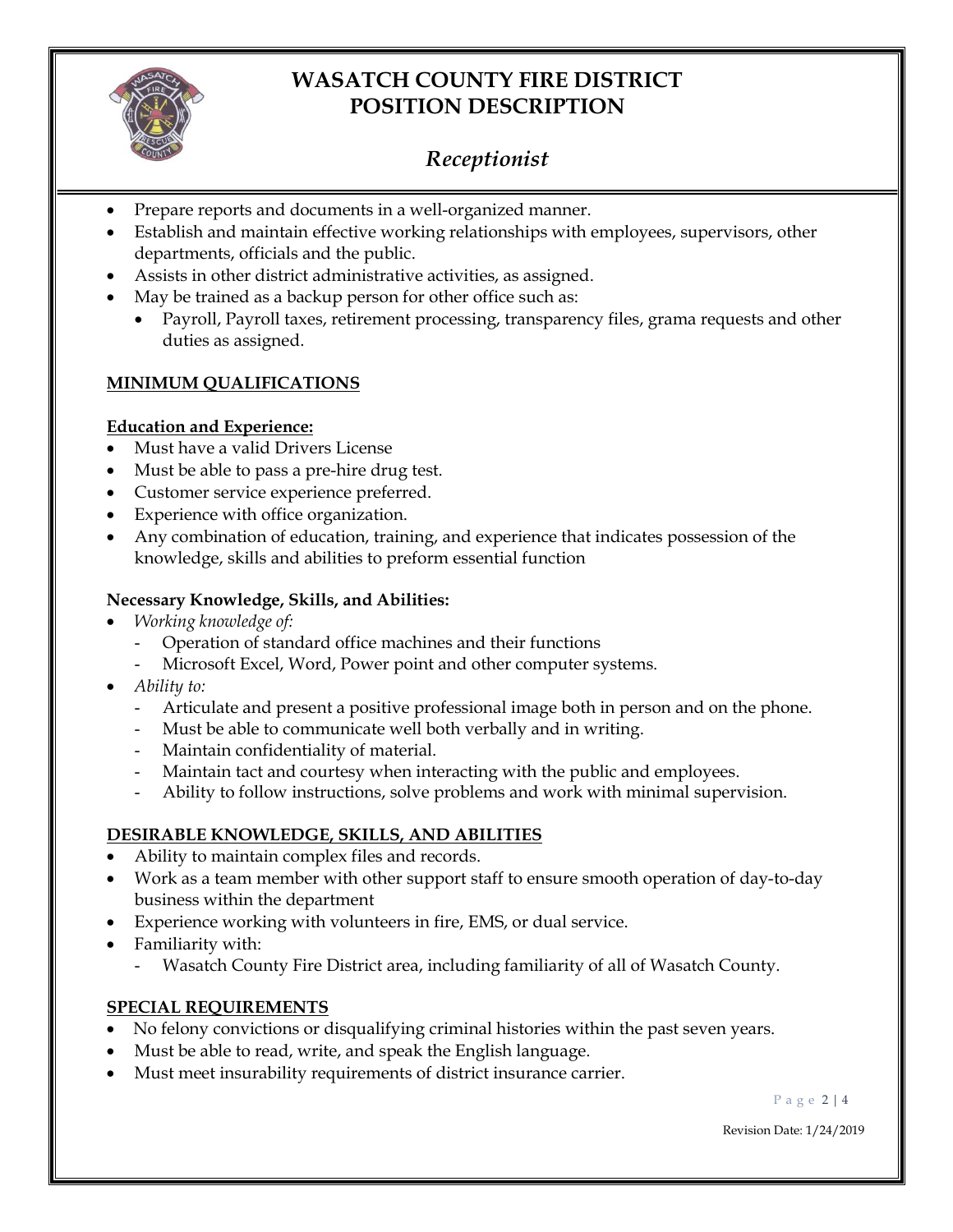

## *Receptionist*

- Prepare reports and documents in a well-organized manner.
- Establish and maintain effective working relationships with employees, supervisors, other departments, officials and the public.
- Assists in other district administrative activities, as assigned.
- May be trained as a backup person for other office such as:
	- Payroll, Payroll taxes, retirement processing, transparency files, grama requests and other duties as assigned.

### **MINIMUM QUALIFICATIONS**

#### **Education and Experience:**

- Must have a valid Drivers License
- Must be able to pass a pre-hire drug test.
- Customer service experience preferred.
- Experience with office organization.
- Any combination of education, training, and experience that indicates possession of the knowledge, skills and abilities to preform essential function

#### **Necessary Knowledge, Skills, and Abilities:**

- *Working knowledge of:*
	- Operation of standard office machines and their functions
	- Microsoft Excel, Word, Power point and other computer systems.
- *Ability to:*
	- Articulate and present a positive professional image both in person and on the phone.
	- Must be able to communicate well both verbally and in writing.
	- Maintain confidentiality of material.
	- Maintain tact and courtesy when interacting with the public and employees.
	- Ability to follow instructions, solve problems and work with minimal supervision.

### **DESIRABLE KNOWLEDGE, SKILLS, AND ABILITIES**

- Ability to maintain complex files and records.
- Work as a team member with other support staff to ensure smooth operation of day-to-day business within the department
- Experience working with volunteers in fire, EMS, or dual service.
- Familiarity with:
	- Wasatch County Fire District area, including familiarity of all of Wasatch County.

### **SPECIAL REQUIREMENTS**

- No felony convictions or disqualifying criminal histories within the past seven years.
- Must be able to read, write, and speak the English language.
- Must meet insurability requirements of district insurance carrier.

P a g e 2 | 4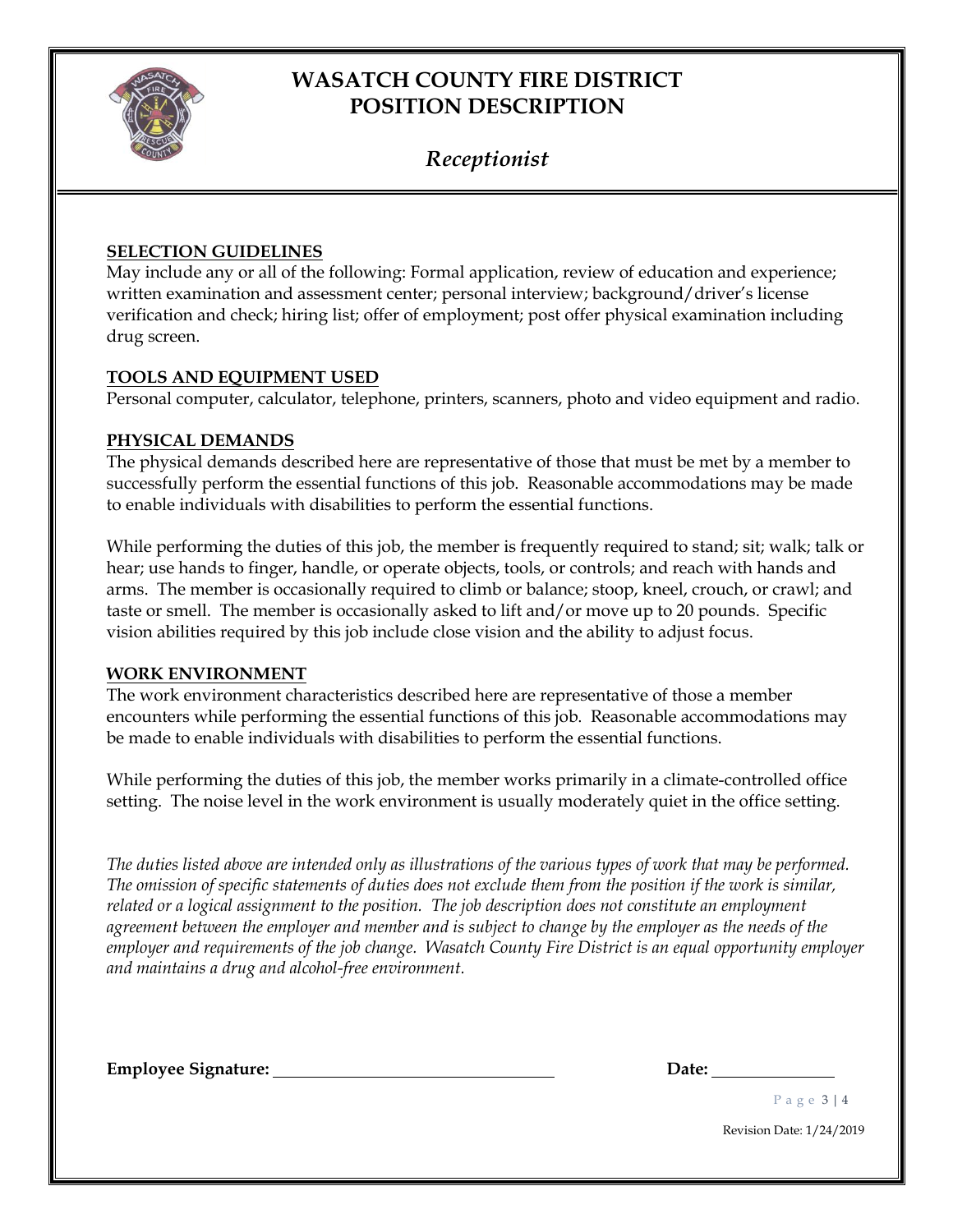

## *Receptionist*

#### **SELECTION GUIDELINES**

May include any or all of the following: Formal application, review of education and experience; written examination and assessment center; personal interview; background/driver's license verification and check; hiring list; offer of employment; post offer physical examination including drug screen.

#### **TOOLS AND EQUIPMENT USED**

Personal computer, calculator, telephone, printers, scanners, photo and video equipment and radio.

#### **PHYSICAL DEMANDS**

The physical demands described here are representative of those that must be met by a member to successfully perform the essential functions of this job. Reasonable accommodations may be made to enable individuals with disabilities to perform the essential functions.

While performing the duties of this job, the member is frequently required to stand; sit; walk; talk or hear; use hands to finger, handle, or operate objects, tools, or controls; and reach with hands and arms. The member is occasionally required to climb or balance; stoop, kneel, crouch, or crawl; and taste or smell. The member is occasionally asked to lift and/or move up to 20 pounds. Specific vision abilities required by this job include close vision and the ability to adjust focus.

#### **WORK ENVIRONMENT**

The work environment characteristics described here are representative of those a member encounters while performing the essential functions of this job. Reasonable accommodations may be made to enable individuals with disabilities to perform the essential functions.

While performing the duties of this job, the member works primarily in a climate-controlled office setting. The noise level in the work environment is usually moderately quiet in the office setting.

*The duties listed above are intended only as illustrations of the various types of work that may be performed. The omission of specific statements of duties does not exclude them from the position if the work is similar, related or a logical assignment to the position. The job description does not constitute an employment agreement between the employer and member and is subject to change by the employer as the needs of the employer and requirements of the job change. Wasatch County Fire District is an equal opportunity employer and maintains a drug and alcohol-free environment.*

**Employee Signature: Date:**

P a g e 3 | 4